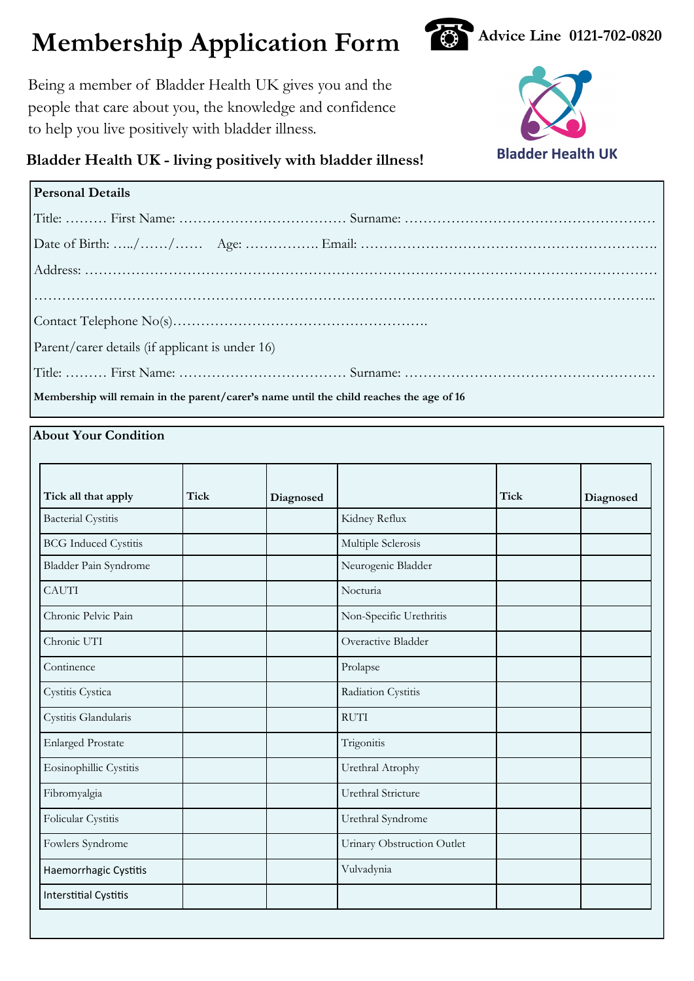# **Membership Application Form**  $\bullet$  Advice Line 0121-702-0820





## **Bladder Health UK - living positively with bladder illness!**

| <b>Personal Details</b>                                                                 |  |  |  |  |
|-----------------------------------------------------------------------------------------|--|--|--|--|
|                                                                                         |  |  |  |  |
|                                                                                         |  |  |  |  |
|                                                                                         |  |  |  |  |
|                                                                                         |  |  |  |  |
|                                                                                         |  |  |  |  |
| Parent/carer details (if applicant is under 16)                                         |  |  |  |  |
|                                                                                         |  |  |  |  |
| Membership will remain in the parent/carer's name until the child reaches the age of 16 |  |  |  |  |

**About Your Condition**

| Tick all that apply          | <b>Tick</b> | Diagnosed |                            | <b>Tick</b> | Diagnosed |
|------------------------------|-------------|-----------|----------------------------|-------------|-----------|
| <b>Bacterial Cystitis</b>    |             |           | Kidney Reflux              |             |           |
| <b>BCG</b> Induced Cystitis  |             |           | Multiple Sclerosis         |             |           |
| Bladder Pain Syndrome        |             |           | Neurogenic Bladder         |             |           |
| <b>CAUTI</b>                 |             |           | Nocturia                   |             |           |
| Chronic Pelvic Pain          |             |           | Non-Specific Urethritis    |             |           |
| Chronic UTI                  |             |           | Overactive Bladder         |             |           |
| Continence                   |             |           | Prolapse                   |             |           |
| Cystitis Cystica             |             |           | Radiation Cystitis         |             |           |
| Cystitis Glandularis         |             |           | <b>RUTI</b>                |             |           |
| <b>Enlarged Prostate</b>     |             |           | Trigonitis                 |             |           |
| Eosinophillic Cystitis       |             |           | Urethral Atrophy           |             |           |
| Fibromyalgia                 |             |           | Urethral Stricture         |             |           |
| Folicular Cystitis           |             |           | Urethral Syndrome          |             |           |
| Fowlers Syndrome             |             |           | Urinary Obstruction Outlet |             |           |
| Haemorrhagic Cystitis        |             |           | Vulvadynia                 |             |           |
| <b>Interstitial Cystitis</b> |             |           |                            |             |           |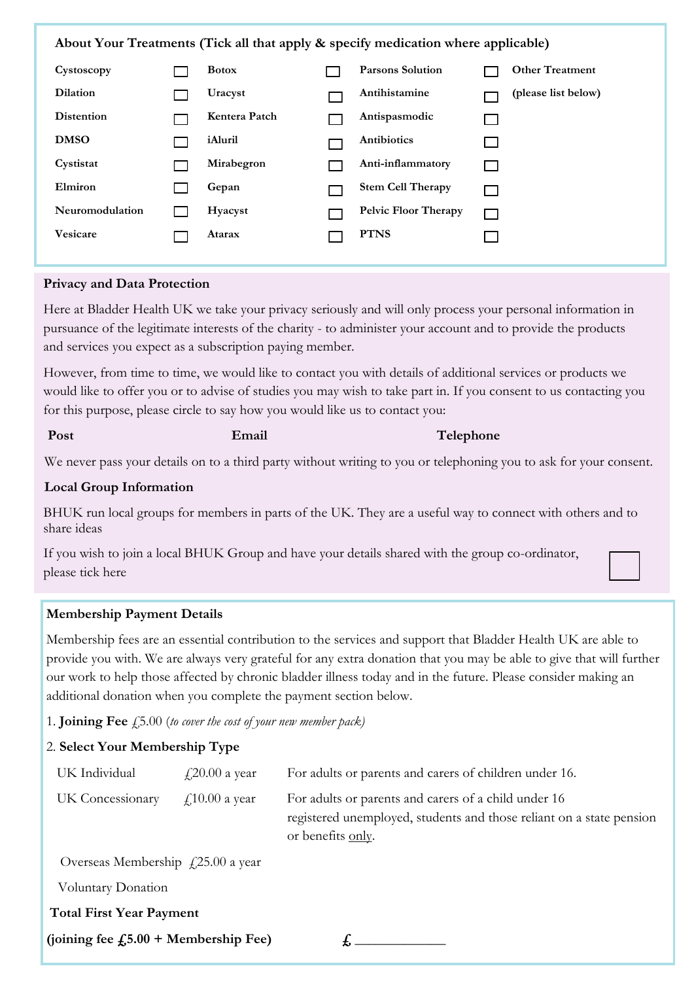**About Your Treatments (Tick all that apply & specify medication where applicable)**

| Cystoscopy        | <b>Botox</b>  | <b>Parsons Solution</b>     |                 | <b>Other Treatment</b> |
|-------------------|---------------|-----------------------------|-----------------|------------------------|
| <b>Dilation</b>   | Uracyst       | Antihistamine               |                 | (please list below)    |
| <b>Distention</b> | Kentera Patch | Antispasmodic               | <b>Contract</b> |                        |
| <b>DMSO</b>       | iAluril       | Antibiotics                 | $\mathcal{L}$   |                        |
| Cystistat         | Mirabegron    | Anti-inflammatory           | <b>Contract</b> |                        |
| Elmiron           | Gepan         | <b>Stem Cell Therapy</b>    | <b>Contract</b> |                        |
| Neuromodulation   | Hyacyst       | <b>Pelvic Floor Therapy</b> | $\sim$          |                        |
| <b>Vesicare</b>   | Atarax        | <b>PTNS</b>                 |                 |                        |

#### **Privacy and Data Protection**

Here at Bladder Health UK we take your privacy seriously and will only process your personal information in pursuance of the legitimate interests of the charity - to administer your account and to provide the products and services you expect as a subscription paying member.

However, from time to time, we would like to contact you with details of additional services or products we would like to offer you or to advise of studies you may wish to take part in. If you consent to us contacting you for this purpose, please circle to say how you would like us to contact you:

#### **Post Email Email Telephone**

We never pass your details on to a third party without writing to you or telephoning you to ask for your consent.

#### **Local Group Information**

BHUK run local groups for members in parts of the UK. They are a useful way to connect with others and to share ideas

If you wish to join a local BHUK Group and have your details shared with the group co-ordinator, please tick here

#### **Membership Payment Details**

Membership fees are an essential contribution to the services and support that Bladder Health UK are able to provide you with. We are always very grateful for any extra donation that you may be able to give that will further our work to help those affected by chronic bladder illness today and in the future. Please consider making an additional donation when you complete the payment section below.

1. **Joining Fee** £5.00 (*to cover the cost of your new member pack)*

#### 2. **Select Your Membership Type**

| UK Individual                              | $\text{\textsterling}20.00$ a year | For adults or parents and carers of children under 16.                                                                                            |
|--------------------------------------------|------------------------------------|---------------------------------------------------------------------------------------------------------------------------------------------------|
| UK Concessionary                           | $\text{\textsterling}10.00$ a year | For adults or parents and carers of a child under 16<br>registered unemployed, students and those reliant on a state pension<br>or benefits only. |
| Overseas Membership $\angle$ 25.00 a year  |                                    |                                                                                                                                                   |
| Voluntary Donation                         |                                    |                                                                                                                                                   |
| <b>Total First Year Payment</b>            |                                    |                                                                                                                                                   |
| (joining fee $f_{25.00}$ + Membership Fee) |                                    |                                                                                                                                                   |